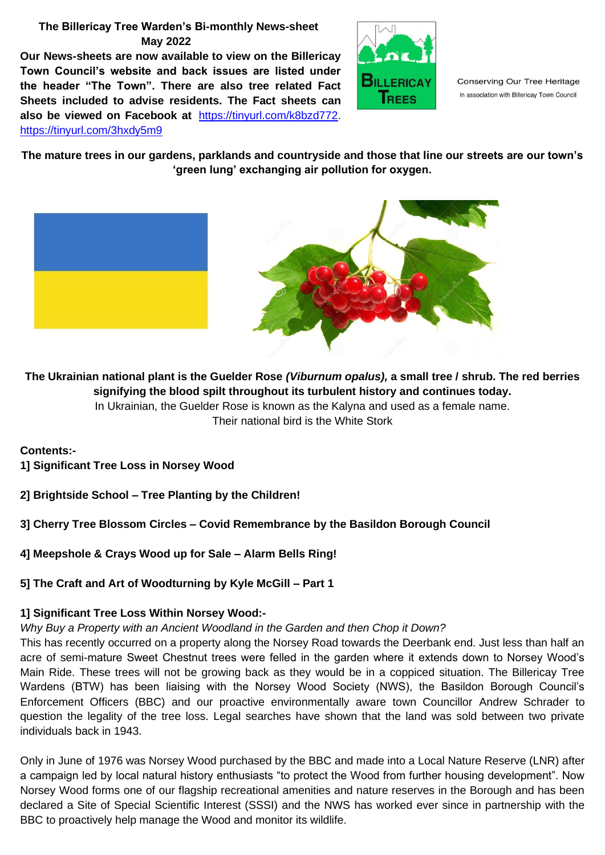# **The Billericay Tree Warden's Bi-monthly News-sheet May 2022**

**Our News-sheets are now available to view on the Billericay Town Council's website and back issues are listed under the header "The Town". There are also tree related Fact Sheets included to advise residents. The Fact sheets can also be viewed on Facebook at** [https://tinyurl.com/k8bzd772.](https://tinyurl.com/k8bzd772) <https://tinyurl.com/3hxdy5m9>



Conserving Our Tree Heritage In association with Billericay Town Council

**The mature trees in our gardens, parklands and countryside and those that line our streets are our town's 'green lung' exchanging air pollution for oxygen.**



**The Ukrainian national plant is the Guelder Rose** *(Viburnum opalus),* **a small tree / shrub. The red berries signifying the blood spilt throughout its turbulent history and continues today.** In Ukrainian, the Guelder Rose is known as the Kalyna and used as a female name.

Their national bird is the White Stork

**Contents:-**

- **1] Significant Tree Loss in Norsey Wood**
- **2] Brightside School – Tree Planting by the Children!**

# **3] Cherry Tree Blossom Circles – Covid Remembrance by the Basildon Borough Council**

**4] Meepshole & Crays Wood up for Sale – Alarm Bells Ring!**

**5] The Craft and Art of Woodturning by Kyle McGill – Part 1**

# **1] Significant Tree Loss Within Norsey Wood:-**

# *Why Buy a Property with an Ancient Woodland in the Garden and then Chop it Down?*

This has recently occurred on a property along the Norsey Road towards the Deerbank end. Just less than half an acre of semi-mature Sweet Chestnut trees were felled in the garden where it extends down to Norsey Wood's Main Ride. These trees will not be growing back as they would be in a coppiced situation. The Billericay Tree Wardens (BTW) has been liaising with the Norsey Wood Society (NWS), the Basildon Borough Council's Enforcement Officers (BBC) and our proactive environmentally aware town Councillor Andrew Schrader to question the legality of the tree loss. Legal searches have shown that the land was sold between two private individuals back in 1943.

Only in June of 1976 was Norsey Wood purchased by the BBC and made into a Local Nature Reserve (LNR) after a campaign led by local natural history enthusiasts "to protect the Wood from further housing development". Now Norsey Wood forms one of our flagship recreational amenities and nature reserves in the Borough and has been declared a Site of Special Scientific Interest (SSSI) and the NWS has worked ever since in partnership with the BBC to proactively help manage the Wood and monitor its wildlife.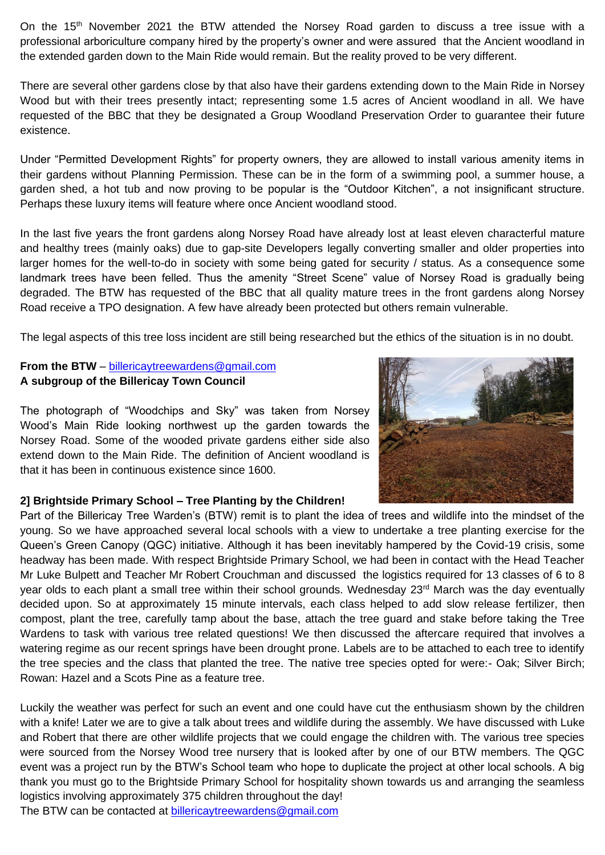On the 15<sup>th</sup> November 2021 the BTW attended the Norsey Road garden to discuss a tree issue with a professional arboriculture company hired by the property's owner and were assured that the Ancient woodland in the extended garden down to the Main Ride would remain. But the reality proved to be very different.

There are several other gardens close by that also have their gardens extending down to the Main Ride in Norsey Wood but with their trees presently intact; representing some 1.5 acres of Ancient woodland in all. We have requested of the BBC that they be designated a Group Woodland Preservation Order to guarantee their future existence.

Under "Permitted Development Rights" for property owners, they are allowed to install various amenity items in their gardens without Planning Permission. These can be in the form of a swimming pool, a summer house, a garden shed, a hot tub and now proving to be popular is the "Outdoor Kitchen", a not insignificant structure. Perhaps these luxury items will feature where once Ancient woodland stood.

In the last five years the front gardens along Norsey Road have already lost at least eleven characterful mature and healthy trees (mainly oaks) due to gap-site Developers legally converting smaller and older properties into larger homes for the well-to-do in society with some being gated for security / status. As a consequence some landmark trees have been felled. Thus the amenity "Street Scene" value of Norsey Road is gradually being degraded. The BTW has requested of the BBC that all quality mature trees in the front gardens along Norsey Road receive a TPO designation. A few have already been protected but others remain vulnerable.

The legal aspects of this tree loss incident are still being researched but the ethics of the situation is in no doubt.

# **From the BTW** – [billericaytreewardens@gmail.com](mailto:billericaytreewardens@gmail.com) **A subgroup of the Billericay Town Council**

The photograph of "Woodchips and Sky" was taken from Norsey Wood's Main Ride looking northwest up the garden towards the Norsey Road. Some of the wooded private gardens either side also extend down to the Main Ride. The definition of Ancient woodland is that it has been in continuous existence since 1600.



#### **2] Brightside Primary School – Tree Planting by the Children!**

Part of the Billericay Tree Warden's (BTW) remit is to plant the idea of trees and wildlife into the mindset of the young. So we have approached several local schools with a view to undertake a tree planting exercise for the Queen's Green Canopy (QGC) initiative. Although it has been inevitably hampered by the Covid-19 crisis, some headway has been made. With respect Brightside Primary School, we had been in contact with the Head Teacher Mr Luke Bulpett and Teacher Mr Robert Crouchman and discussed the logistics required for 13 classes of 6 to 8 year olds to each plant a small tree within their school grounds. Wednesday 23<sup>rd</sup> March was the day eventually decided upon. So at approximately 15 minute intervals, each class helped to add slow release fertilizer, then compost, plant the tree, carefully tamp about the base, attach the tree guard and stake before taking the Tree Wardens to task with various tree related questions! We then discussed the aftercare required that involves a watering regime as our recent springs have been drought prone. Labels are to be attached to each tree to identify the tree species and the class that planted the tree. The native tree species opted for were:- Oak; Silver Birch; Rowan: Hazel and a Scots Pine as a feature tree.

Luckily the weather was perfect for such an event and one could have cut the enthusiasm shown by the children with a knife! Later we are to give a talk about trees and wildlife during the assembly. We have discussed with Luke and Robert that there are other wildlife projects that we could engage the children with. The various tree species were sourced from the Norsey Wood tree nursery that is looked after by one of our BTW members. The QGC event was a project run by the BTW's School team who hope to duplicate the project at other local schools. A big thank you must go to the Brightside Primary School for hospitality shown towards us and arranging the seamless logistics involving approximately 375 children throughout the day!

The BTW can be contacted at [billericaytreewardens@gmail.com](mailto:billericaytreewardens@gmail.com)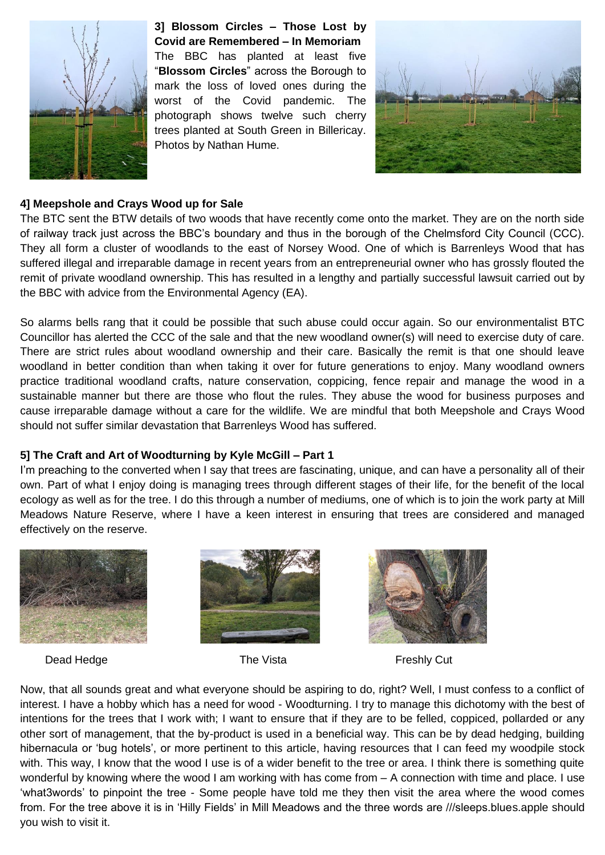

**3] Blossom Circles – Those Lost by Covid are Remembered – In Memoriam** The BBC has planted at least five "**Blossom Circles**" across the Borough to mark the loss of loved ones during the worst of the Covid pandemic. The photograph shows twelve such cherry trees planted at South Green in Billericay. Photos by Nathan Hume.



### **4] Meepshole and Crays Wood up for Sale**

The BTC sent the BTW details of two woods that have recently come onto the market. They are on the north side of railway track just across the BBC's boundary and thus in the borough of the Chelmsford City Council (CCC). They all form a cluster of woodlands to the east of Norsey Wood. One of which is Barrenleys Wood that has suffered illegal and irreparable damage in recent years from an entrepreneurial owner who has grossly flouted the remit of private woodland ownership. This has resulted in a lengthy and partially successful lawsuit carried out by the BBC with advice from the Environmental Agency (EA).

So alarms bells rang that it could be possible that such abuse could occur again. So our environmentalist BTC Councillor has alerted the CCC of the sale and that the new woodland owner(s) will need to exercise duty of care. There are strict rules about woodland ownership and their care. Basically the remit is that one should leave woodland in better condition than when taking it over for future generations to enjoy. Many woodland owners practice traditional woodland crafts, nature conservation, coppicing, fence repair and manage the wood in a sustainable manner but there are those who flout the rules. They abuse the wood for business purposes and cause irreparable damage without a care for the wildlife. We are mindful that both Meepshole and Crays Wood should not suffer similar devastation that Barrenleys Wood has suffered.

#### **5] The Craft and Art of Woodturning by Kyle McGill – Part 1**

I'm preaching to the converted when I say that trees are fascinating, unique, and can have a personality all of their own. Part of what I enjoy doing is managing trees through different stages of their life, for the benefit of the local ecology as well as for the tree. I do this through a number of mediums, one of which is to join the work party at Mill Meadows Nature Reserve, where I have a keen interest in ensuring that trees are considered and managed effectively on the reserve.



Dead Hedge The Vista **The Vista** Freshly Cut







Now, that all sounds great and what everyone should be aspiring to do, right? Well, I must confess to a conflict of interest. I have a hobby which has a need for wood - Woodturning. I try to manage this dichotomy with the best of intentions for the trees that I work with; I want to ensure that if they are to be felled, coppiced, pollarded or any other sort of management, that the by-product is used in a beneficial way. This can be by dead hedging, building hibernacula or 'bug hotels', or more pertinent to this article, having resources that I can feed my woodpile stock with. This way, I know that the wood I use is of a wider benefit to the tree or area. I think there is something quite wonderful by knowing where the wood I am working with has come from – A connection with time and place. I use 'what3words' to pinpoint the tree - Some people have told me they then visit the area where the wood comes from. For the tree above it is in 'Hilly Fields' in Mill Meadows and the three words are ///sleeps.blues.apple should you wish to visit it.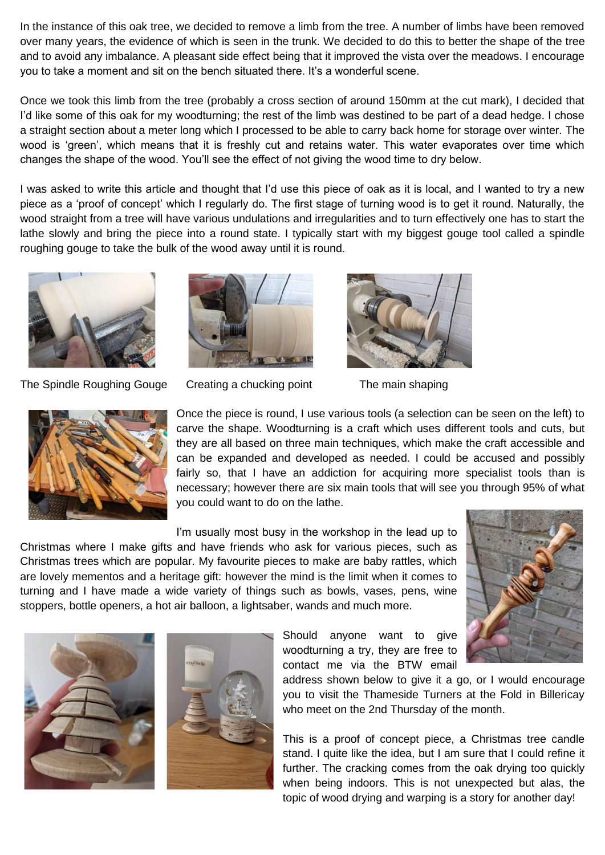In the instance of this oak tree, we decided to remove a limb from the tree. A number of limbs have been removed over many years, the evidence of which is seen in the trunk. We decided to do this to better the shape of the tree and to avoid any imbalance. A pleasant side effect being that it improved the vista over the meadows. I encourage you to take a moment and sit on the bench situated there. It's a wonderful scene.

Once we took this limb from the tree (probably a cross section of around 150mm at the cut mark), I decided that I'd like some of this oak for my woodturning; the rest of the limb was destined to be part of a dead hedge. I chose a straight section about a meter long which I processed to be able to carry back home for storage over winter. The wood is 'green', which means that it is freshly cut and retains water. This water evaporates over time which changes the shape of the wood. You'll see the effect of not giving the wood time to dry below.

I was asked to write this article and thought that I'd use this piece of oak as it is local, and I wanted to try a new piece as a 'proof of concept' which I regularly do. The first stage of turning wood is to get it round. Naturally, the wood straight from a tree will have various undulations and irregularities and to turn effectively one has to start the lathe slowly and bring the piece into a round state. I typically start with my biggest gouge tool called a spindle roughing gouge to take the bulk of the wood away until it is round.



The Spindle Roughing Gouge Creating a chucking point The main shaping









Once the piece is round, I use various tools (a selection can be seen on the left) to carve the shape. Woodturning is a craft which uses different tools and cuts, but they are all based on three main techniques, which make the craft accessible and can be expanded and developed as needed. I could be accused and possibly fairly so, that I have an addiction for acquiring more specialist tools than is necessary; however there are six main tools that will see you through 95% of what you could want to do on the lathe.

I'm usually most busy in the workshop in the lead up to Christmas where I make gifts and have friends who ask for various pieces, such as Christmas trees which are popular. My favourite pieces to make are baby rattles, which are lovely mementos and a heritage gift: however the mind is the limit when it comes to turning and I have made a wide variety of things such as bowls, vases, pens, wine stoppers, bottle openers, a hot air balloon, a lightsaber, wands and much more.



Should anyone want to give woodturning a try, they are free to contact me via the BTW email

address shown below to give it a go, or I would encourage you to visit the Thameside Turners at the Fold in Billericay who meet on the 2nd Thursday of the month.

This is a proof of concept piece, a Christmas tree candle stand. I quite like the idea, but I am sure that I could refine it further. The cracking comes from the oak drying too quickly when being indoors. This is not unexpected but alas, the topic of wood drying and warping is a story for another day!